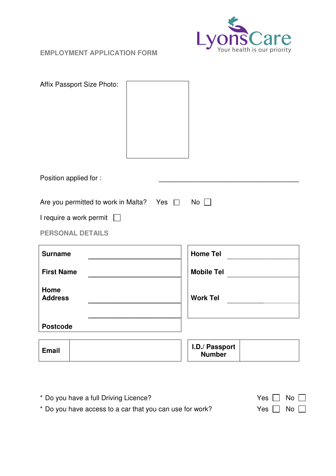

**EMPLOYMENT APPLICATION FORM** 

| Affix Passport Size Photo:                               |  |                                 |            |
|----------------------------------------------------------|--|---------------------------------|------------|
| Position applied for :                                   |  |                                 |            |
| Are you permitted to work in Malta? Yes $\Box$ No $\Box$ |  |                                 |            |
| I require a work permit $\Box$                           |  |                                 |            |
| <b>PERSONAL DETAILS</b>                                  |  |                                 |            |
| <b>Surname</b>                                           |  | <b>Home Tel</b>                 |            |
| <b>First Name</b>                                        |  |                                 | Mobile Tel |
| Home<br><b>Address</b>                                   |  | <b>Work Tel</b>                 |            |
| <b>Postcode</b>                                          |  |                                 |            |
| <b>Email</b>                                             |  | I.D./ Passport<br><b>Number</b> |            |

| * Do you have a full Driving Licence?                    | Yes $\Box$ No $\Box$ |
|----------------------------------------------------------|----------------------|
| * Do you have access to a car that you can use for work? | Yes $\Box$ No $\Box$ |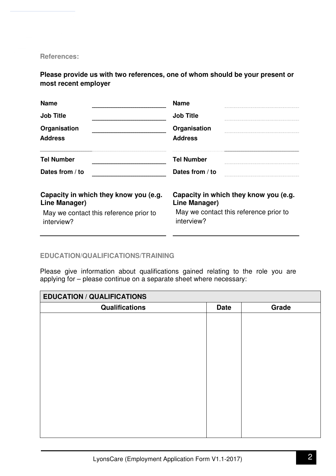**References:** 

**Please provide us with two references, one of whom should be your present or most recent employer** 

| <b>Name</b>                                            | <b>Name</b>                                            |
|--------------------------------------------------------|--------------------------------------------------------|
| <b>Job Title</b>                                       | <b>Job Title</b>                                       |
| Organisation                                           | Organisation                                           |
| <b>Address</b>                                         | <b>Address</b>                                         |
| <b>Tel Number</b>                                      | <b>Tel Number</b>                                      |
| Dates from / to                                        | Dates from / to                                        |
| Capacity in which they know you (e.g.<br>Line Manager) | Capacity in which they know you (e.g.<br>Line Manager) |
| May we contact this reference prior to<br>interview?   | May we contact this reference prior to<br>interview?   |

## **EDUCATION/QUALIFICATIONS/TRAINING**

Please give information about qualifications gained relating to the role you are applying for – please continue on a separate sheet where necessary:

| <b>EDUCATION / QUALIFICATIONS</b> |             |       |  |  |
|-----------------------------------|-------------|-------|--|--|
| <b>Qualifications</b>             | <b>Date</b> | Grade |  |  |
|                                   |             |       |  |  |
|                                   |             |       |  |  |
|                                   |             |       |  |  |
|                                   |             |       |  |  |
|                                   |             |       |  |  |
|                                   |             |       |  |  |
|                                   |             |       |  |  |
|                                   |             |       |  |  |
|                                   |             |       |  |  |
|                                   |             |       |  |  |
|                                   |             |       |  |  |
|                                   |             |       |  |  |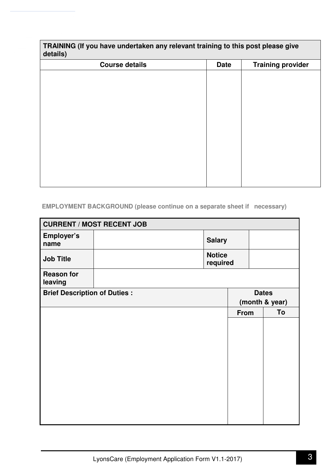### **TRAINING (If you have undertaken any relevant training to this post please give details)**

| $\mathbf{z}$          |             |                          |
|-----------------------|-------------|--------------------------|
| <b>Course details</b> | <b>Date</b> | <b>Training provider</b> |
|                       |             |                          |
|                       |             |                          |
|                       |             |                          |
|                       |             |                          |
|                       |             |                          |
|                       |             |                          |
|                       |             |                          |
|                       |             |                          |
|                       |             |                          |
|                       |             |                          |
|                       |             |                          |
|                       |             |                          |
|                       |             |                          |

# **EMPLOYMENT BACKGROUND (please continue on a separate sheet if necessary)**

| <b>CURRENT / MOST RECENT JOB</b>    |  |                           |                |  |              |
|-------------------------------------|--|---------------------------|----------------|--|--------------|
| Employer's<br>name                  |  | <b>Salary</b>             |                |  |              |
| <b>Job Title</b>                    |  | <b>Notice</b><br>required |                |  |              |
| <b>Reason for</b><br>leaving        |  |                           |                |  |              |
| <b>Brief Description of Duties:</b> |  |                           |                |  | <b>Dates</b> |
|                                     |  |                           | (month & year) |  |              |
|                                     |  |                           | <b>From</b>    |  | To           |
|                                     |  |                           |                |  |              |
|                                     |  |                           |                |  |              |
|                                     |  |                           |                |  |              |
|                                     |  |                           |                |  |              |
|                                     |  |                           |                |  |              |
|                                     |  |                           |                |  |              |
|                                     |  |                           |                |  |              |
|                                     |  |                           |                |  |              |
|                                     |  |                           |                |  |              |
|                                     |  |                           |                |  |              |
|                                     |  |                           |                |  |              |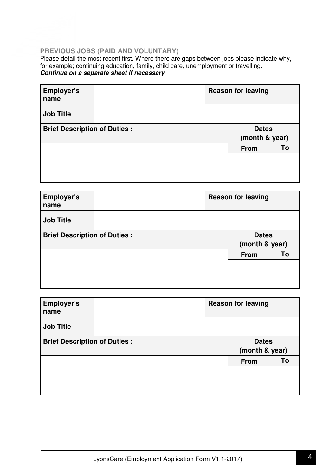## **PREVIOUS JOBS (PAID AND VOLUNTARY)**

Please detail the most recent first. Where there are gaps between jobs please indicate why, for example; continuing education, family, child care, unemployment or travelling. **Continue on a separate sheet if necessary**

| Employer's<br>name                  | <b>Reason for leaving</b> |                |    |
|-------------------------------------|---------------------------|----------------|----|
| <b>Job Title</b>                    |                           |                |    |
| <b>Brief Description of Duties:</b> |                           | <b>Dates</b>   |    |
|                                     |                           | (month & year) |    |
|                                     |                           | <b>From</b>    | Т٥ |
|                                     |                           |                |    |
|                                     |                           |                |    |
|                                     |                           |                |    |

| Employer's<br>name                  | <b>Reason for leaving</b> |                |    |
|-------------------------------------|---------------------------|----------------|----|
| <b>Job Title</b>                    |                           |                |    |
| <b>Brief Description of Duties:</b> |                           | <b>Dates</b>   |    |
|                                     |                           | (month & year) |    |
|                                     |                           | <b>From</b>    | To |
|                                     |                           |                |    |
|                                     |                           |                |    |
|                                     |                           |                |    |

| Employer's<br>name                  | <b>Reason for leaving</b> |                |    |
|-------------------------------------|---------------------------|----------------|----|
| <b>Job Title</b>                    |                           |                |    |
| <b>Brief Description of Duties:</b> |                           | <b>Dates</b>   |    |
|                                     |                           | (month & year) |    |
|                                     |                           | <b>From</b>    | To |
|                                     |                           |                |    |
|                                     |                           |                |    |
|                                     |                           |                |    |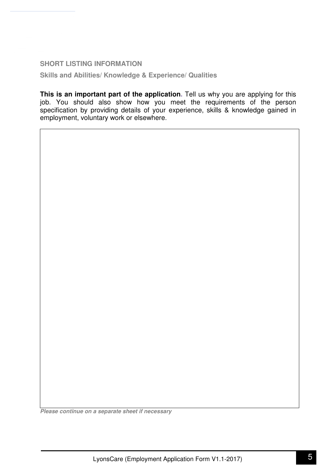**SHORT LISTING INFORMATION** 

**Skills and Abilities/ Knowledge & Experience/ Qualities** 

**This is an important part of the application.** Tell us why you are applying for this job. You should also show how you meet the requirements of the person specification by providing details of your experience, skills & knowledge gained in employment, voluntary work or elsewhere.

**Please continue on a separate sheet if necessary**